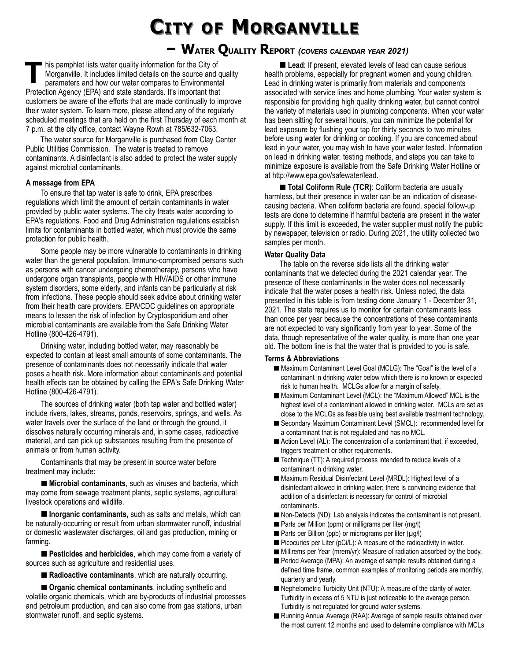# **CITY OF MORGANVILLE**

## **-- WATER QUALITY REPORT** *(COVERS CALENDAR YEAR 2021)*

his pamphlet lists water quality information for the City of Morganville. It includes limited details on the source and quality parameters and how our water compares to Environmental Protection Agency (EPA) and state standards. It's important that customers be aware of the efforts that are made continually to improve their water system. To learn more, please attend any of the regularly scheduled meetings that are held on the first Thursday of each month at 7 p.m. at the city office, contact Wayne Rowh at 785/632-7063. **T**

The water source for Morganville is purchased from Clay Center Public Utilities Commission. The water is treated to remove contaminants. A disinfectant is also added to protect the water supply against microbial contaminants.

### **A message from EPA**

To ensure that tap water is safe to drink, EPA prescribes regulations which limit the amount of certain contaminants in water provided by public water systems. The city treats water according to EPA's regulations. Food and Drug Administration regulations establish limits for contaminants in bottled water, which must provide the same protection for public health.

Some people may be more vulnerable to contaminants in drinking water than the general population. Immuno-compromised persons such as persons with cancer undergoing chemotherapy, persons who have undergone organ transplants, people with HIV/AIDS or other immune system disorders, some elderly, and infants can be particularly at risk from infections. These people should seek advice about drinking water from their health care providers. EPA/CDC guidelines on appropriate means to lessen the risk of infection by Cryptosporidium and other microbial contaminants are available from the Safe Drinking Water Hotline (800-426-4791).

Drinking water, including bottled water, may reasonably be expected to contain at least small amounts of some contaminants. The presence of contaminants does not necessarily indicate that water poses a health risk. More information about contaminants and potential health effects can be obtained by calling the EPA's Safe Drinking Water Hotline (800-426-4791).

The sources of drinking water (both tap water and bottled water) include rivers, lakes, streams, ponds, reservoirs, springs, and wells. As water travels over the surface of the land or through the ground, it dissolves naturally occurring minerals and, in some cases, radioactive material, and can pick up substances resulting from the presence of animals or from human activity.

Contaminants that may be present in source water before treatment may include:

**Microbial contaminants**, such as viruses and bacteria, which may come from sewage treatment plants, septic systems, agricultural livestock operations and wildlife.

**Inorganic contaminants,** such as salts and metals, which can be naturally-occurring or result from urban stormwater runoff, industrial or domestic wastewater discharges, oil and gas production, mining or farming.

**Pesticides and herbicides**, which may come from a variety of sources such as agriculture and residential uses.

■ Radioactive contaminants, which are naturally occurring.

**Organic chemical contaminants**, including synthetic and volatile organic chemicals, which are by-products of industrial processes and petroleum production, and can also come from gas stations, urban stormwater runoff, and septic systems.

**Lead:** If present, elevated levels of lead can cause serious health problems, especially for pregnant women and young children. Lead in drinking water is primarily from materials and components associated with service lines and home plumbing. Your water system is responsible for providing high quality drinking water, but cannot control the variety of materials used in plumbing components. When your water has been sitting for several hours, you can minimize the potential for lead exposure by flushing your tap for thirty seconds to two minutes before using water for drinking or cooking. If you are concerned about lead in your water, you may wish to have your water tested. Information on lead in drinking water, testing methods, and steps you can take to minimize exposure is available from the Safe Drinking Water Hotline or at http://www.epa.gov/safewater/lead.

■ Total Coliform Rule (TCR): Coliform bacteria are usually harmless, but their presence in water can be an indication of diseasecausing bacteria. When coliform bacteria are found, special follow-up tests are done to determine if harmful bacteria are present in the water supply. If this limit is exceeded, the water supplier must notify the public by newspaper, television or radio. During 2021, the utility collected two samples per month.

### **Water Quality Data**

The table on the reverse side lists all the drinking water contaminants that we detected during the 2021 calendar year. The presence of these contaminants in the water does not necessarily indicate that the water poses a health risk. Unless noted, the data presented in this table is from testing done January 1 - December 31, 2021. The state requires us to monitor for certain contaminants less than once per year because the concentrations of these contaminants are not expected to vary significantly from year to year. Some of the data, though representative of the water quality, is more than one year old. The bottom line is that the water that is provided to you is safe.

#### **Terms & Abbreviations**

- Maximum Contaminant Level Goal (MCLG): The "Goal" is the level of a contaminant in drinking water below which there is no known or expected risk to human health. MCLGs allow for a margin of safety.
- Maximum Contaminant Level (MCL): the "Maximum Allowed" MCL is the highest level of a contaminant allowed in drinking water. MCLs are set as close to the MCLGs as feasible using best available treatment technology.
- Secondary Maximum Contaminant Level (SMCL): recommended level for a contaminant that is not regulated and has no MCL.
- Action Level (AL): The concentration of a contaminant that, if exceeded, triggers treatment or other requirements.
- Technique (TT): A required process intended to reduce levels of a contaminant in drinking water.
- Maximum Residual Disinfectant Level (MRDL): Highest level of a disinfectant allowed in drinking water; there is convincing evidence that addition of a disinfectant is necessary for control of microbial contaminants.
- Non-Detects (ND): Lab analysis indicates the contaminant is not present.
- Parts per Million (ppm) or milligrams per liter (mg/l)
- Parts per Billion (ppb) or micrograms per liter (µg/l)
- Picocuries per Liter (pCi/L): A measure of the radioactivity in water.
- Millirems per Year (mrem/yr): Measure of radiation absorbed by the body.
- Period Average (MPA): An average of sample results obtained during a defined time frame, common examples of monitoring periods are monthly, quarterly and yearly.
- Nephelometric Turbidity Unit (NTU): A measure of the clarity of water. Turbidity in excess of 5 NTU is just noticeable to the average person. Turbidity is not regulated for ground water systems.
- Running Annual Average (RAA): Average of sample results obtained over the most current 12 months and used to determine compliance with MCLs